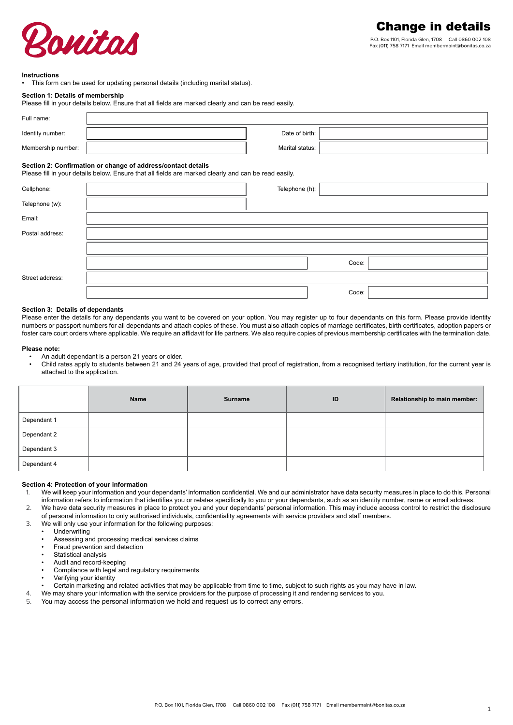

### **Instructions**

• This form can be used for updating personal details (including marital status).

### **Section 1: Details of membership**

| Please fill in your details below. Ensure that all fields are marked clearly and can be read easily. |  |
|------------------------------------------------------------------------------------------------------|--|

| Full name:         |                 |  |
|--------------------|-----------------|--|
| Identity number:   | Date of birth:  |  |
| Membership number: | Marital status: |  |

# **Section 2: Confirmation or change of address/contact details**

Please fill in your details below. Ensure that all fields are marked clearly and can be read easily.

| Cellphone:      | Telephone (h): |  |
|-----------------|----------------|--|
| Telephone (w):  |                |  |
| Email:          |                |  |
| Postal address: |                |  |
|                 |                |  |
|                 | Code:          |  |
| Street address: |                |  |
|                 | Code:          |  |

#### **Section 3: Details of dependants**

Please enter the details for any dependants you want to be covered on your option. You may register up to four dependants on this form. Please provide identity numbers or passport numbers for all dependants and attach copies of these. You must also attach copies of marriage certificates, birth certificates, adoption papers or foster care court orders where applicable. We require an affidavit for life partners. We also require copies of previous membership certificates with the termination date.

#### **Please note:**

• An adult dependant is a person 21 years or older.

• Child rates apply to students between 21 and 24 years of age, provided that proof of registration, from a recognised tertiary institution, for the current year is attached to the application.

|             | <b>Name</b> | <b>Surname</b> | ID | Relationship to main member: |
|-------------|-------------|----------------|----|------------------------------|
| Dependant 1 |             |                |    |                              |
| Dependant 2 |             |                |    |                              |
| Dependant 3 |             |                |    |                              |
| Dependant 4 |             |                |    |                              |

## **Section 4: Protection of your information**

- 1. We will keep your information and your dependants' information confidential. We and our administrator have data security measures in place to do this. Personal information refers to information that identifies you or relates specifically to you or your dependants, such as an identity number, name or email address.
- 2. We have data security measures in place to protect you and your dependants' personal information. This may include access control to restrict the disclosure of personal information to only authorised individuals, confidentiality agreements with service providers and staff members.
- 3. We will only use your information for the following purposes:
	- Underwriting
	- Assessing and processing medical services claims
	- Fraud prevention and detection
	- Statistical analysis
	- Audit and record-keeping
	- Compliance with legal and regulatory requirements
	- Verifying your identity
	- Certain marketing and related activities that may be applicable from time to time, subject to such rights as you may have in law.
- 4. We may share your information with the service providers for the purpose of processing it and rendering services to you.
- 5. You may access the personal information we hold and request us to correct any errors.